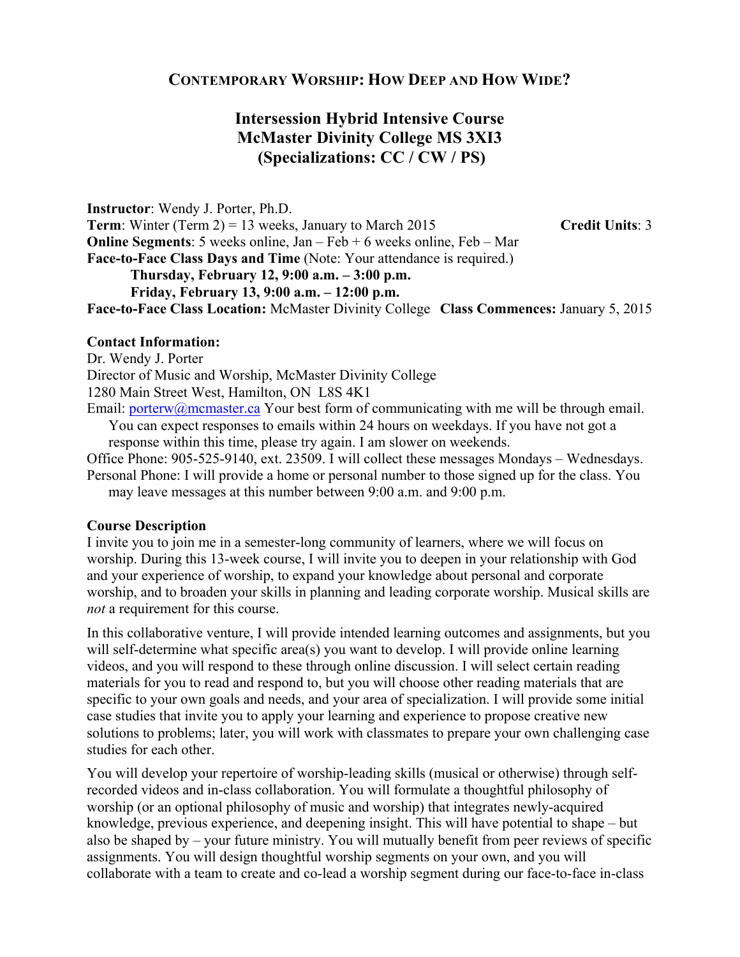## **CONTEMPORARY WORSHIP: HOW DEEP AND HOW WIDE?**

# **Intersession Hybrid Intensive Course McMaster Divinity College MS 3XI3 (Specializations: CC / CW / PS)**

**Instructor**: Wendy J. Porter, Ph.D. **Term**: Winter (Term 2) = 13 weeks, January to March 2015 **Credit Units**: 3 **Online Segments**: 5 weeks online, Jan – Feb + 6 weeks online, Feb – Mar **Face-to-Face Class Days and Time** (Note: Your attendance is required.) **Thursday, February 12, 9:00 a.m. – 3:00 p.m. Friday, February 13, 9:00 a.m. – 12:00 p.m. Face-to-Face Class Location:** McMaster Divinity College **Class Commences:** January 5, 2015

## **Contact Information:**

Dr. Wendy J. Porter Director of Music and Worship, McMaster Divinity College 1280 Main Street West, Hamilton, ON L8S 4K1 Email:  $\text{porterw}(a)$  mcmaster.ca Your best form of communicating with me will be through email. You can expect responses to emails within 24 hours on weekdays. If you have not got a response within this time, please try again. I am slower on weekends. Office Phone: 905-525-9140, ext. 23509. I will collect these messages Mondays – Wednesdays. Personal Phone: I will provide a home or personal number to those signed up for the class. You may leave messages at this number between 9:00 a.m. and 9:00 p.m.

#### **Course Description**

I invite you to join me in a semester-long community of learners, where we will focus on worship. During this 13-week course, I will invite you to deepen in your relationship with God and your experience of worship, to expand your knowledge about personal and corporate worship, and to broaden your skills in planning and leading corporate worship. Musical skills are *not* a requirement for this course.

In this collaborative venture, I will provide intended learning outcomes and assignments, but you will self-determine what specific area(s) you want to develop. I will provide online learning videos, and you will respond to these through online discussion. I will select certain reading materials for you to read and respond to, but you will choose other reading materials that are specific to your own goals and needs, and your area of specialization. I will provide some initial case studies that invite you to apply your learning and experience to propose creative new solutions to problems; later, you will work with classmates to prepare your own challenging case studies for each other.

You will develop your repertoire of worship-leading skills (musical or otherwise) through selfrecorded videos and in-class collaboration. You will formulate a thoughtful philosophy of worship (or an optional philosophy of music and worship) that integrates newly-acquired knowledge, previous experience, and deepening insight. This will have potential to shape – but also be shaped by – your future ministry. You will mutually benefit from peer reviews of specific assignments. You will design thoughtful worship segments on your own, and you will collaborate with a team to create and co-lead a worship segment during our face-to-face in-class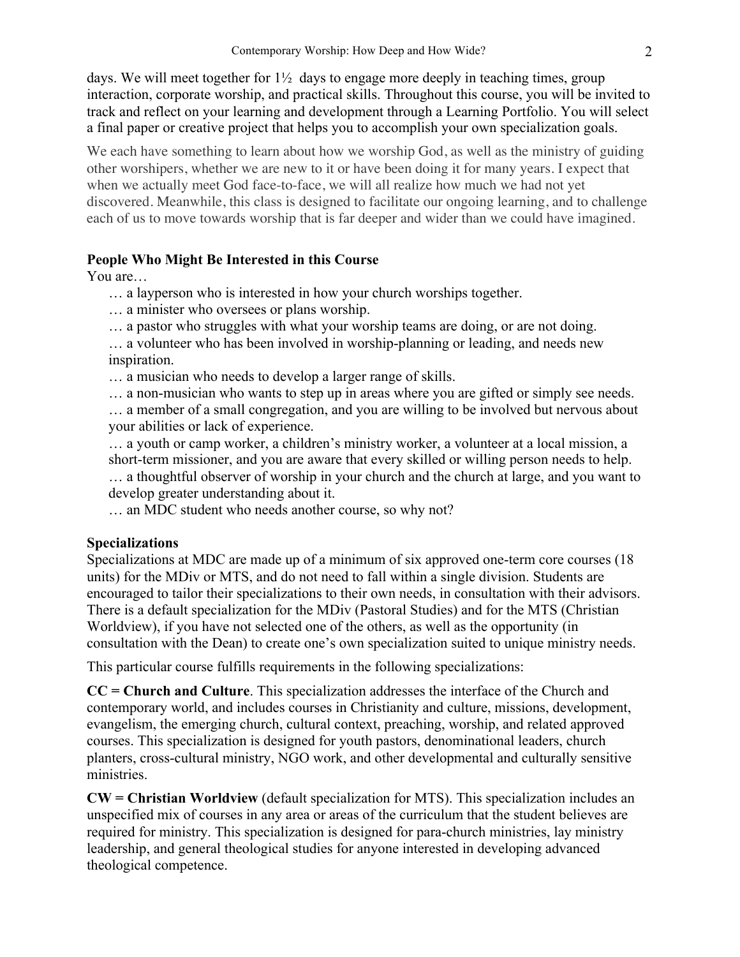days. We will meet together for 1½ days to engage more deeply in teaching times, group interaction, corporate worship, and practical skills. Throughout this course, you will be invited to track and reflect on your learning and development through a Learning Portfolio. You will select a final paper or creative project that helps you to accomplish your own specialization goals.

We each have something to learn about how we worship God, as well as the ministry of guiding other worshipers, whether we are new to it or have been doing it for many years. I expect that when we actually meet God face-to-face, we will all realize how much we had not yet discovered. Meanwhile, this class is designed to facilitate our ongoing learning, and to challenge each of us to move towards worship that is far deeper and wider than we could have imagined.

## **People Who Might Be Interested in this Course**

You are…

- … a layperson who is interested in how your church worships together.
- … a minister who oversees or plans worship.
- … a pastor who struggles with what your worship teams are doing, or are not doing.

… a volunteer who has been involved in worship-planning or leading, and needs new inspiration.

… a musician who needs to develop a larger range of skills.

… a non-musician who wants to step up in areas where you are gifted or simply see needs.

… a member of a small congregation, and you are willing to be involved but nervous about your abilities or lack of experience.

… a youth or camp worker, a children's ministry worker, a volunteer at a local mission, a short-term missioner, and you are aware that every skilled or willing person needs to help.

… a thoughtful observer of worship in your church and the church at large, and you want to develop greater understanding about it.

… an MDC student who needs another course, so why not?

## **Specializations**

Specializations at MDC are made up of a minimum of six approved one-term core courses (18 units) for the MDiv or MTS, and do not need to fall within a single division. Students are encouraged to tailor their specializations to their own needs, in consultation with their advisors. There is a default specialization for the MDiv (Pastoral Studies) and for the MTS (Christian Worldview), if you have not selected one of the others, as well as the opportunity (in consultation with the Dean) to create one's own specialization suited to unique ministry needs.

This particular course fulfills requirements in the following specializations:

**CC = Church and Culture**. This specialization addresses the interface of the Church and contemporary world, and includes courses in Christianity and culture, missions, development, evangelism, the emerging church, cultural context, preaching, worship, and related approved courses. This specialization is designed for youth pastors, denominational leaders, church planters, cross-cultural ministry, NGO work, and other developmental and culturally sensitive ministries.

**CW = Christian Worldview** (default specialization for MTS). This specialization includes an unspecified mix of courses in any area or areas of the curriculum that the student believes are required for ministry. This specialization is designed for para-church ministries, lay ministry leadership, and general theological studies for anyone interested in developing advanced theological competence.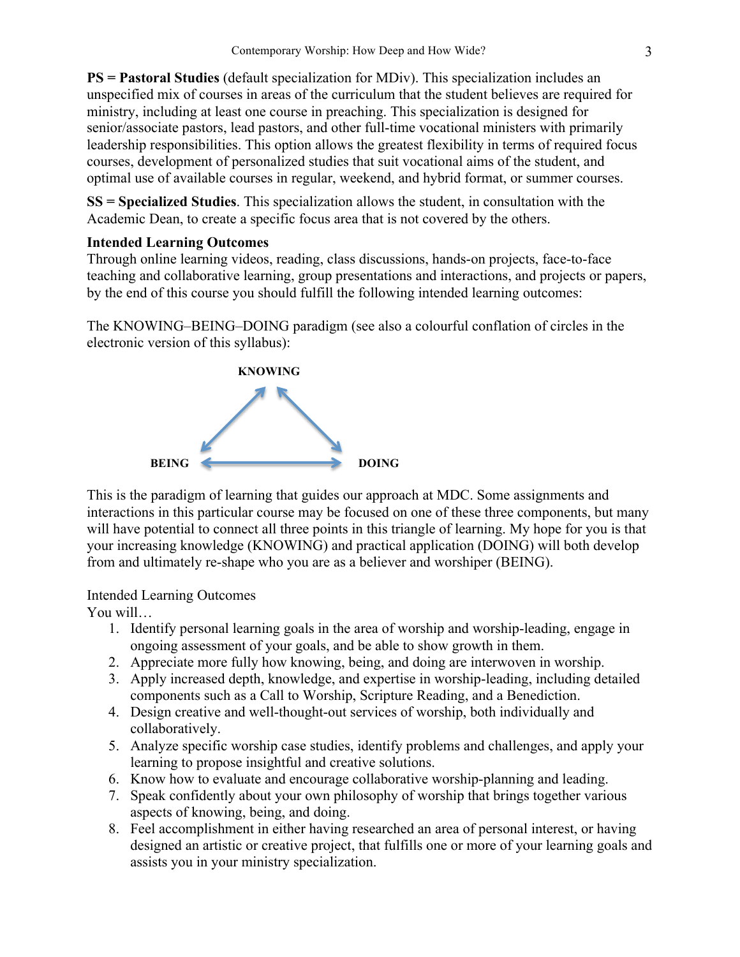**PS = Pastoral Studies** (default specialization for MDiv). This specialization includes an unspecified mix of courses in areas of the curriculum that the student believes are required for ministry, including at least one course in preaching. This specialization is designed for senior/associate pastors, lead pastors, and other full-time vocational ministers with primarily leadership responsibilities. This option allows the greatest flexibility in terms of required focus courses, development of personalized studies that suit vocational aims of the student, and optimal use of available courses in regular, weekend, and hybrid format, or summer courses.

**SS = Specialized Studies**. This specialization allows the student, in consultation with the Academic Dean, to create a specific focus area that is not covered by the others.

## **Intended Learning Outcomes**

Through online learning videos, reading, class discussions, hands-on projects, face-to-face teaching and collaborative learning, group presentations and interactions, and projects or papers, by the end of this course you should fulfill the following intended learning outcomes:

The KNOWING–BEING–DOING paradigm (see also a colourful conflation of circles in the electronic version of this syllabus):



This is the paradigm of learning that guides our approach at MDC. Some assignments and interactions in this particular course may be focused on one of these three components, but many will have potential to connect all three points in this triangle of learning. My hope for you is that your increasing knowledge (KNOWING) and practical application (DOING) will both develop from and ultimately re-shape who you are as a believer and worshiper (BEING).

## Intended Learning Outcomes

You will…

- 1. Identify personal learning goals in the area of worship and worship-leading, engage in ongoing assessment of your goals, and be able to show growth in them.
- 2. Appreciate more fully how knowing, being, and doing are interwoven in worship.
- 3. Apply increased depth, knowledge, and expertise in worship-leading, including detailed components such as a Call to Worship, Scripture Reading, and a Benediction.
- 4. Design creative and well-thought-out services of worship, both individually and collaboratively.
- 5. Analyze specific worship case studies, identify problems and challenges, and apply your learning to propose insightful and creative solutions.
- 6. Know how to evaluate and encourage collaborative worship-planning and leading.
- 7. Speak confidently about your own philosophy of worship that brings together various aspects of knowing, being, and doing.
- 8. Feel accomplishment in either having researched an area of personal interest, or having designed an artistic or creative project, that fulfills one or more of your learning goals and assists you in your ministry specialization.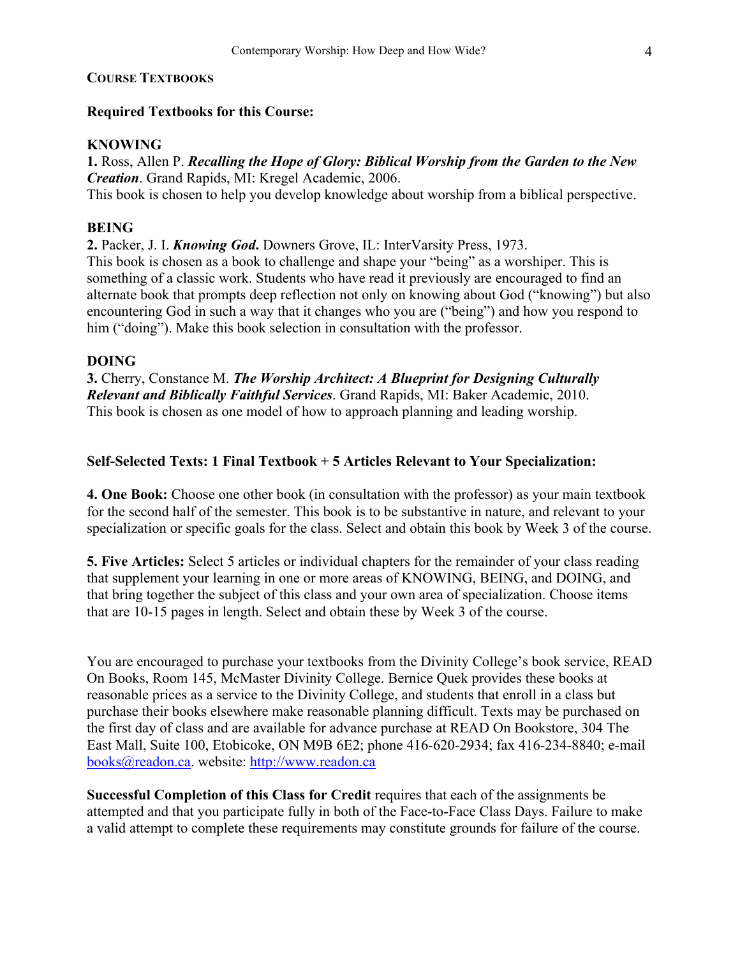#### **COURSE TEXTBOOKS**

## **Required Textbooks for this Course:**

#### **KNOWING**

**1.** Ross, Allen P. *Recalling the Hope of Glory: Biblical Worship from the Garden to the New Creation*. Grand Rapids, MI: Kregel Academic, 2006. This book is chosen to help you develop knowledge about worship from a biblical perspective.

#### **BEING**

**2.** Packer, J. I. *Knowing God***.** Downers Grove, IL: InterVarsity Press, 1973.

This book is chosen as a book to challenge and shape your "being" as a worshiper. This is something of a classic work. Students who have read it previously are encouraged to find an alternate book that prompts deep reflection not only on knowing about God ("knowing") but also encountering God in such a way that it changes who you are ("being") and how you respond to him ("doing"). Make this book selection in consultation with the professor.

#### **DOING**

**3.** Cherry, Constance M. *The Worship Architect: A Blueprint for Designing Culturally Relevant and Biblically Faithful Services*. Grand Rapids, MI: Baker Academic, 2010. This book is chosen as one model of how to approach planning and leading worship.

#### **Self-Selected Texts: 1 Final Textbook + 5 Articles Relevant to Your Specialization:**

**4. One Book:** Choose one other book (in consultation with the professor) as your main textbook for the second half of the semester. This book is to be substantive in nature, and relevant to your specialization or specific goals for the class. Select and obtain this book by Week 3 of the course.

**5. Five Articles:** Select 5 articles or individual chapters for the remainder of your class reading that supplement your learning in one or more areas of KNOWING, BEING, and DOING, and that bring together the subject of this class and your own area of specialization. Choose items that are 10-15 pages in length. Select and obtain these by Week 3 of the course.

You are encouraged to purchase your textbooks from the Divinity College's book service, READ On Books, Room 145, McMaster Divinity College. Bernice Quek provides these books at reasonable prices as a service to the Divinity College, and students that enroll in a class but purchase their books elsewhere make reasonable planning difficult. Texts may be purchased on the first day of class and are available for advance purchase at READ On Bookstore, 304 The East Mall, Suite 100, Etobicoke, ON M9B 6E2; phone 416-620-2934; fax 416-234-8840; e-mail books@readon.ca. website: http://www.readon.ca

**Successful Completion of this Class for Credit** requires that each of the assignments be attempted and that you participate fully in both of the Face-to-Face Class Days. Failure to make a valid attempt to complete these requirements may constitute grounds for failure of the course.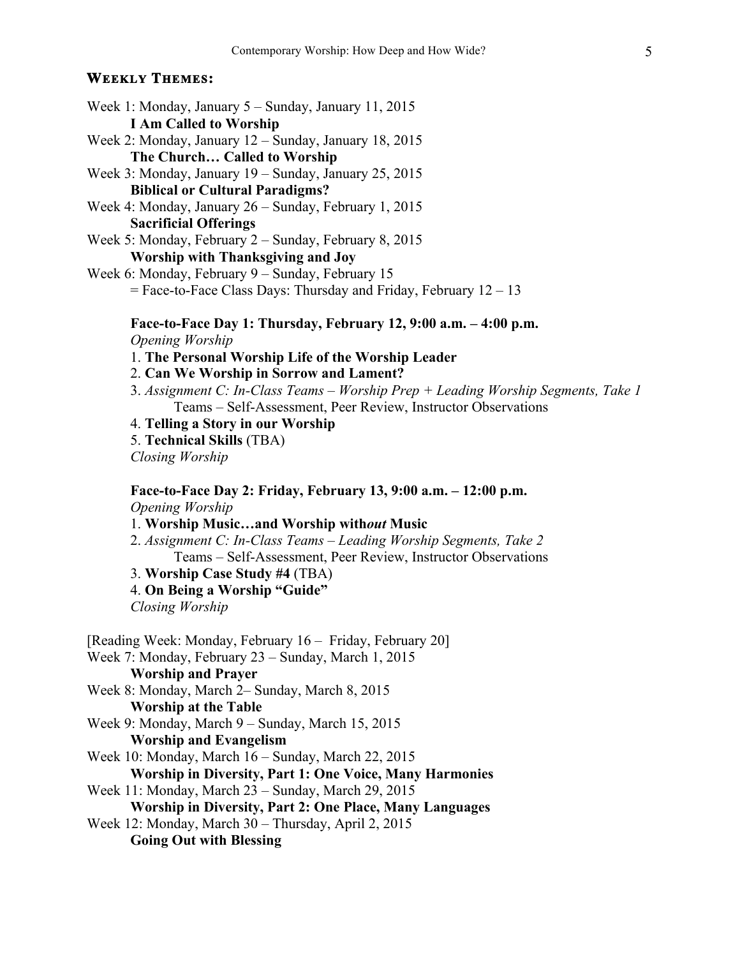#### **WEEKLY THEMES:**

Week 1: Monday, January 5 – Sunday, January 11, 2015 **I Am Called to Worship** Week 2: Monday, January 12 – Sunday, January 18, 2015 **The Church… Called to Worship** Week 3: Monday, January 19 – Sunday, January 25, 2015 **Biblical or Cultural Paradigms?** Week 4: Monday, January 26 – Sunday, February 1, 2015 **Sacrificial Offerings** Week 5: Monday, February 2 – Sunday, February 8, 2015 **Worship with Thanksgiving and Joy** Week 6: Monday, February 9 – Sunday, February 15  $=$  Face-to-Face Class Days: Thursday and Friday, February  $12 - 13$ **Face-to-Face Day 1: Thursday, February 12, 9:00 a.m. – 4:00 p.m.** *Opening Worship* 1. **The Personal Worship Life of the Worship Leader** 2. **Can We Worship in Sorrow and Lament?** 3. *Assignment C: In-Class Teams – Worship Prep + Leading Worship Segments, Take 1* Teams – Self-Assessment, Peer Review, Instructor Observations 4. **Telling a Story in our Worship** 5. **Technical Skills** (TBA)

*Closing Worship*

**Face-to-Face Day 2: Friday, February 13, 9:00 a.m. – 12:00 p.m.**

*Opening Worship*

1. **Worship Music…and Worship with***out* **Music**

2. *Assignment C: In-Class Teams – Leading Worship Segments, Take 2* Teams – Self-Assessment, Peer Review, Instructor Observations

3. **Worship Case Study #4** (TBA)

4. **On Being a Worship "Guide"**

*Closing Worship*

[Reading Week: Monday, February 16 – Friday, February 20] Week 7: Monday, February 23 – Sunday, March 1, 2015 **Worship and Prayer** Week 8: Monday, March 2– Sunday, March 8, 2015 **Worship at the Table** Week 9: Monday, March 9 – Sunday, March 15, 2015 **Worship and Evangelism** Week 10: Monday, March 16 – Sunday, March 22, 2015 **Worship in Diversity, Part 1: One Voice, Many Harmonies** Week 11: Monday, March 23 – Sunday, March 29, 2015 **Worship in Diversity, Part 2: One Place, Many Languages** Week 12: Monday, March 30 – Thursday, April 2, 2015 **Going Out with Blessing**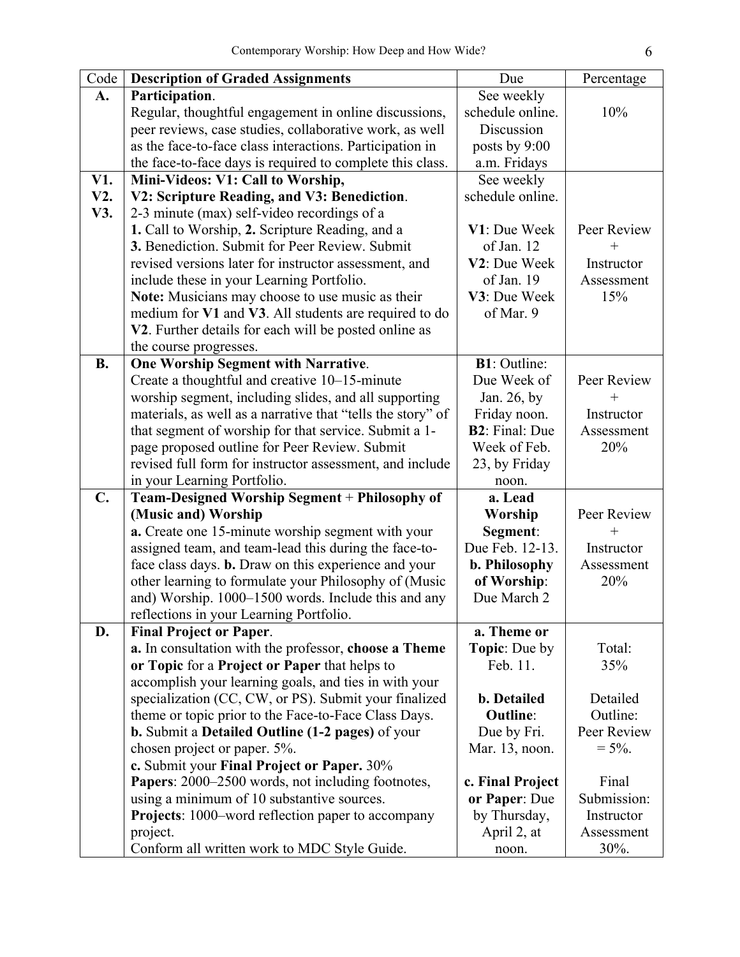| Code           | <b>Description of Graded Assignments</b>                    | Due                    | Percentage  |
|----------------|-------------------------------------------------------------|------------------------|-------------|
| A.             | Participation.                                              | See weekly             |             |
|                | Regular, thoughtful engagement in online discussions,       | schedule online.       | 10%         |
|                | peer reviews, case studies, collaborative work, as well     | Discussion             |             |
|                | as the face-to-face class interactions. Participation in    | posts by 9:00          |             |
|                | the face-to-face days is required to complete this class.   | a.m. Fridays           |             |
| V1.            | Mini-Videos: V1: Call to Worship,                           | See weekly             |             |
| V2.            | V2: Scripture Reading, and V3: Benediction.                 | schedule online.       |             |
| V3.            | 2-3 minute (max) self-video recordings of a                 |                        |             |
|                | 1. Call to Worship, 2. Scripture Reading, and a             | V1: Due Week           | Peer Review |
|                | 3. Benediction. Submit for Peer Review. Submit              | of Jan. 12             |             |
|                | revised versions later for instructor assessment, and       | V2: Due Week           | Instructor  |
|                | include these in your Learning Portfolio.                   | of Jan. 19             | Assessment  |
|                | Note: Musicians may choose to use music as their            | V3: Due Week           | 15%         |
|                | medium for V1 and V3. All students are required to do       | of Mar. 9              |             |
|                | V2. Further details for each will be posted online as       |                        |             |
|                | the course progresses.                                      |                        |             |
| <b>B.</b>      | <b>One Worship Segment with Narrative.</b>                  | <b>B1</b> : Outline:   |             |
|                | Create a thoughtful and creative 10–15-minute               | Due Week of            | Peer Review |
|                | worship segment, including slides, and all supporting       |                        |             |
|                |                                                             | Jan. 26, by            |             |
|                | materials, as well as a narrative that "tells the story" of | Friday noon.           | Instructor  |
|                | that segment of worship for that service. Submit a 1-       | <b>B2</b> : Final: Due | Assessment  |
|                | page proposed outline for Peer Review. Submit               | Week of Feb.           | 20%         |
|                | revised full form for instructor assessment, and include    | 23, by Friday          |             |
|                | in your Learning Portfolio.                                 | noon.                  |             |
| $\mathbf{C}$ . | Team-Designed Worship Segment + Philosophy of               | a. Lead                |             |
|                | (Music and) Worship                                         | Worship                | Peer Review |
|                | a. Create one 15-minute worship segment with your           | Segment:               |             |
|                | assigned team, and team-lead this during the face-to-       | Due Feb. 12-13.        | Instructor  |
|                | face class days. <b>b.</b> Draw on this experience and your | b. Philosophy          | Assessment  |
|                | other learning to formulate your Philosophy of (Music       | of Worship:            | 20%         |
|                | and) Worship. 1000–1500 words. Include this and any         | Due March 2            |             |
|                | reflections in your Learning Portfolio.                     |                        |             |
| D.             | <b>Final Project or Paper.</b>                              | a. Theme or            |             |
|                | a. In consultation with the professor, choose a Theme       | <b>Topic:</b> Due by   | Total:      |
|                | or Topic for a Project or Paper that helps to               | Feb. 11.               | 35%         |
|                | accomplish your learning goals, and ties in with your       |                        |             |
|                | specialization (CC, CW, or PS). Submit your finalized       | b. Detailed            | Detailed    |
|                | theme or topic prior to the Face-to-Face Class Days.        | <b>Outline:</b>        | Outline:    |
|                | b. Submit a Detailed Outline (1-2 pages) of your            | Due by Fri.            | Peer Review |
|                | chosen project or paper. 5%.                                | Mar. 13, noon.         | $= 5\%$ .   |
|                | c. Submit your Final Project or Paper. 30%                  |                        |             |
|                | <b>Papers:</b> 2000–2500 words, not including footnotes,    | c. Final Project       | Final       |
|                | using a minimum of 10 substantive sources.                  | or Paper: Due          | Submission: |
|                | <b>Projects:</b> 1000–word reflection paper to accompany    | by Thursday,           | Instructor  |
|                | project.                                                    | April 2, at            | Assessment  |
|                | Conform all written work to MDC Style Guide.                | noon.                  | $30\%$ .    |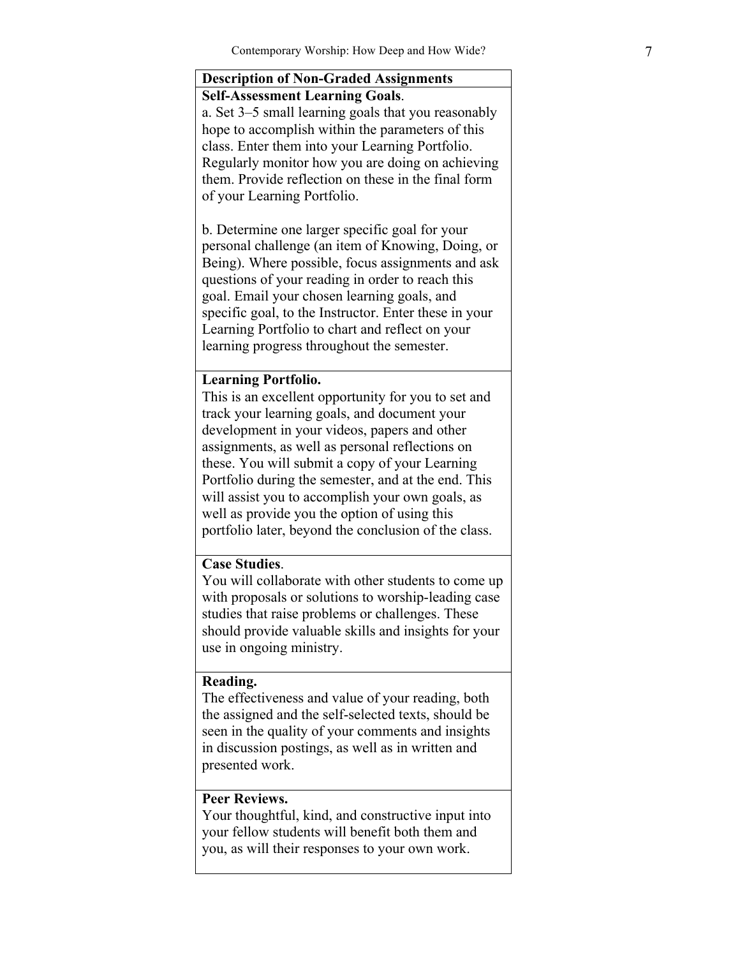# **Description of Non -Graded Assignments**

**Self-Assessment Learning Goals** . a. Set 3 –5 small learning goals that you reasonably hope to accomplish within the parameters of this class. Enter them into your Learning Portfolio. Regularly monitor how you are doing on achieving them. Provide reflection on these in the final form of your Learning Portfolio.

b. Determine one larger specific goal for your personal challenge (an item of Knowing, Doing, or Being). Where possible, focus assignments and ask questions of your reading in order to reach this goal. Email your chosen learning goals, and specific goal, to the Instructor. Enter these in your Learning Portfolio to chart and reflect on your learning progress throughout the semester.

## **Learning Portfolio.**

This is an excellent opportunity for you to set and track your learning goals, and document your development in your videos, papers and other assignments, as well as personal reflections on these. You will submit a copy of your Learning Portfolio during the semester, and at the end. This will assist you to accomplish your own goals, as well as provide you the option of using this portfolio later, beyond the conclusion of the class.

#### **Case Studies** .

You will collaborate with other students to come up with proposals or solutions to worship -leading case studies that raise problems or challenges. These should provide valuable skills and insights for your use in ongoing ministry.

#### **Reading.**

The effectiveness and value of your reading, both the assigned and the self-selected texts, should be seen in the quality of your comments and insights in discussion postings, as well as in written and presented work.

#### **Peer Reviews.**

Your thoughtful, kind, and constructive input into your fellow students will benefit both them and you, as will their responses to your own work.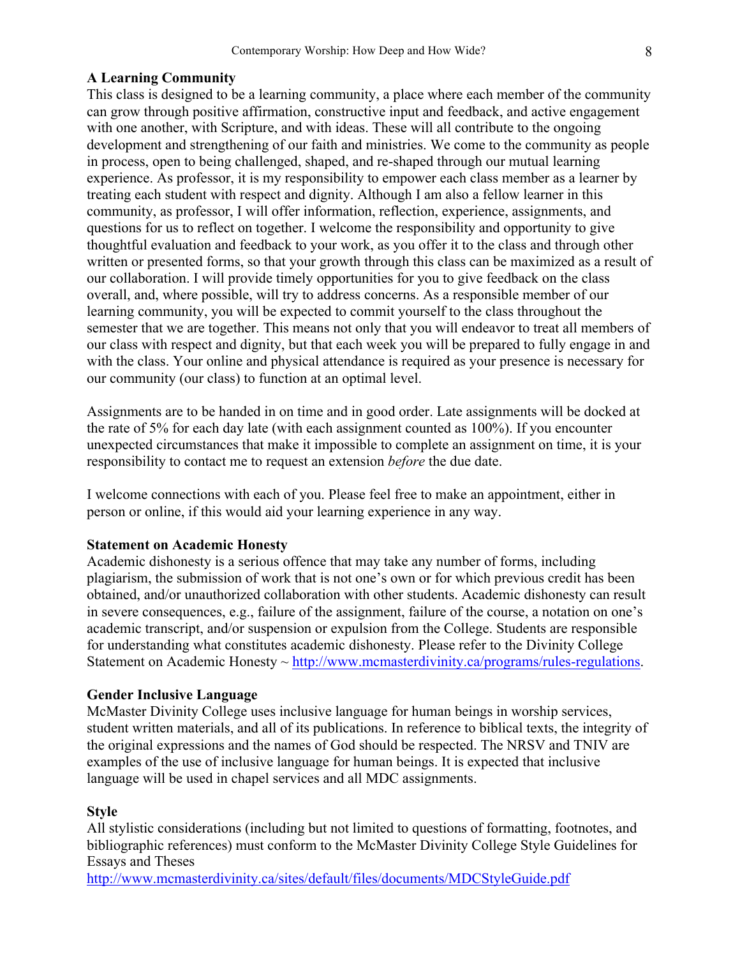#### **A Learning Community**

This class is designed to be a learning community, a place where each member of the community can grow through positive affirmation, constructive input and feedback, and active engagement with one another, with Scripture, and with ideas. These will all contribute to the ongoing development and strengthening of our faith and ministries. We come to the community as people in process, open to being challenged, shaped, and re-shaped through our mutual learning experience. As professor, it is my responsibility to empower each class member as a learner by treating each student with respect and dignity. Although I am also a fellow learner in this community, as professor, I will offer information, reflection, experience, assignments, and questions for us to reflect on together. I welcome the responsibility and opportunity to give thoughtful evaluation and feedback to your work, as you offer it to the class and through other written or presented forms, so that your growth through this class can be maximized as a result of our collaboration. I will provide timely opportunities for you to give feedback on the class overall, and, where possible, will try to address concerns. As a responsible member of our learning community, you will be expected to commit yourself to the class throughout the semester that we are together. This means not only that you will endeavor to treat all members of our class with respect and dignity, but that each week you will be prepared to fully engage in and with the class. Your online and physical attendance is required as your presence is necessary for our community (our class) to function at an optimal level.

Assignments are to be handed in on time and in good order. Late assignments will be docked at the rate of 5% for each day late (with each assignment counted as 100%). If you encounter unexpected circumstances that make it impossible to complete an assignment on time, it is your responsibility to contact me to request an extension *before* the due date.

I welcome connections with each of you. Please feel free to make an appointment, either in person or online, if this would aid your learning experience in any way.

#### **Statement on Academic Honesty**

Academic dishonesty is a serious offence that may take any number of forms, including plagiarism, the submission of work that is not one's own or for which previous credit has been obtained, and/or unauthorized collaboration with other students. Academic dishonesty can result in severe consequences, e.g., failure of the assignment, failure of the course, a notation on one's academic transcript, and/or suspension or expulsion from the College. Students are responsible for understanding what constitutes academic dishonesty. Please refer to the Divinity College Statement on Academic Honesty ~ http://www.mcmasterdivinity.ca/programs/rules-regulations.

#### **Gender Inclusive Language**

McMaster Divinity College uses inclusive language for human beings in worship services, student written materials, and all of its publications. In reference to biblical texts, the integrity of the original expressions and the names of God should be respected. The NRSV and TNIV are examples of the use of inclusive language for human beings. It is expected that inclusive language will be used in chapel services and all MDC assignments.

#### **Style**

All stylistic considerations (including but not limited to questions of formatting, footnotes, and bibliographic references) must conform to the McMaster Divinity College Style Guidelines for Essays and Theses

http://www.mcmasterdivinity.ca/sites/default/files/documents/MDCStyleGuide.pdf